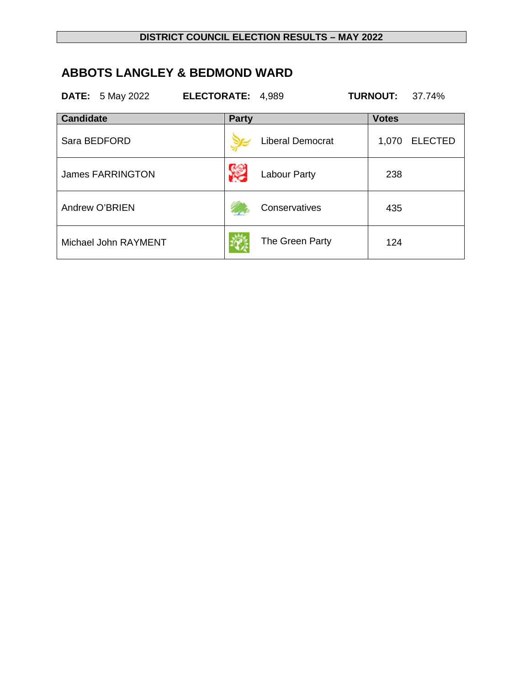## **ABBOTS LANGLEY & BEDMOND WARD**

|                  | <b>DATE:</b> 5 May 2022 | ELECTORATE: 4,989 |              |                         | <b>TURNOUT:</b> | 37.74%         |
|------------------|-------------------------|-------------------|--------------|-------------------------|-----------------|----------------|
| <b>Candidate</b> |                         |                   | <b>Party</b> |                         | <b>Votes</b>    |                |
|                  | Sara BEDFORD            |                   |              | <b>Liberal Democrat</b> | 1,070           | <b>ELECTED</b> |
|                  | <b>James FARRINGTON</b> |                   |              | <b>Labour Party</b>     | 238             |                |
|                  | Andrew O'BRIEN          |                   |              | Conservatives           | 435             |                |
|                  | Michael John RAYMENT    |                   |              | The Green Party         | 124             |                |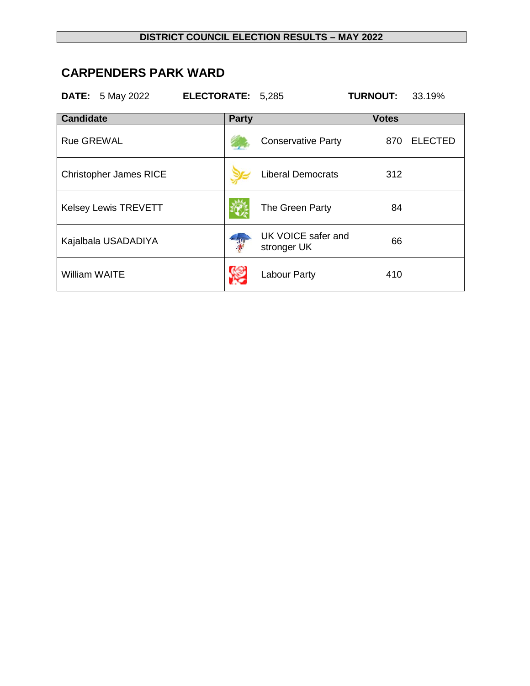#### **DISTRICT COUNCIL ELECTION RESULTS – MAY 2022**

## **CARPENDERS PARK WARD**

|                      | <b>DATE:</b> 5 May 2022       | ELECTORATE: 5,285 |              |                                   | <b>TURNOUT:</b> | 33.19%         |
|----------------------|-------------------------------|-------------------|--------------|-----------------------------------|-----------------|----------------|
| <b>Candidate</b>     |                               |                   | <b>Party</b> |                                   | <b>Votes</b>    |                |
| <b>Rue GREWAL</b>    |                               |                   |              | <b>Conservative Party</b>         | 870             | <b>ELECTED</b> |
|                      | <b>Christopher James RICE</b> |                   |              | <b>Liberal Democrats</b>          | 312             |                |
|                      | <b>Kelsey Lewis TREVETT</b>   |                   |              | The Green Party                   | 84              |                |
|                      | Kajalbala USADADIYA           |                   |              | UK VOICE safer and<br>stronger UK | 66              |                |
| <b>William WAITE</b> |                               |                   |              | <b>Labour Party</b>               | 410             |                |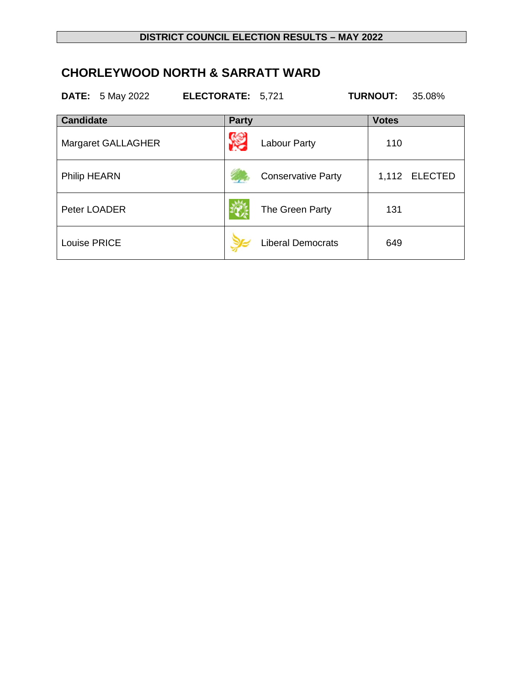# **CHORLEYWOOD NORTH & SARRATT WARD**

|                  | <b>DATE:</b> 5 May 2022 | ELECTORATE: 5,721 |              |                           | <b>TURNOUT:</b> | 35.08%        |
|------------------|-------------------------|-------------------|--------------|---------------------------|-----------------|---------------|
| <b>Candidate</b> |                         |                   | <b>Party</b> |                           | <b>Votes</b>    |               |
|                  | Margaret GALLAGHER      |                   |              | <b>Labour Party</b>       | 110             |               |
| Philip HEARN     |                         |                   |              | <b>Conservative Party</b> |                 | 1,112 ELECTED |
| Peter LOADER     |                         |                   |              | The Green Party           | 131             |               |
| Louise PRICE     |                         |                   |              | <b>Liberal Democrats</b>  | 649             |               |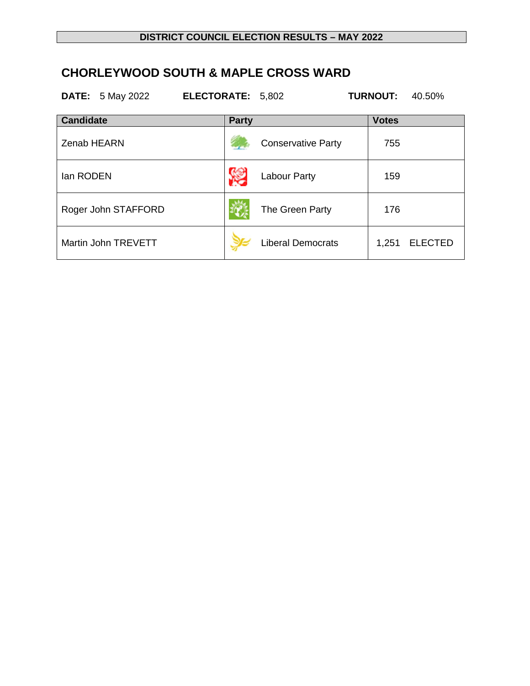# **CHORLEYWOOD SOUTH & MAPLE CROSS WARD**

|                  | <b>DATE:</b> 5 May 2022 | ELECTORATE: 5,802 |                           | <b>TURNOUT:</b> | 40.50%         |
|------------------|-------------------------|-------------------|---------------------------|-----------------|----------------|
| <b>Candidate</b> |                         | <b>Party</b>      |                           | <b>Votes</b>    |                |
| Zenab HEARN      |                         |                   | <b>Conservative Party</b> | 755             |                |
| lan RODEN        |                         |                   | Labour Party              | 159             |                |
|                  | Roger John STAFFORD     |                   | The Green Party           | 176             |                |
|                  | Martin John TREVETT     |                   | <b>Liberal Democrats</b>  | 1,251           | <b>ELECTED</b> |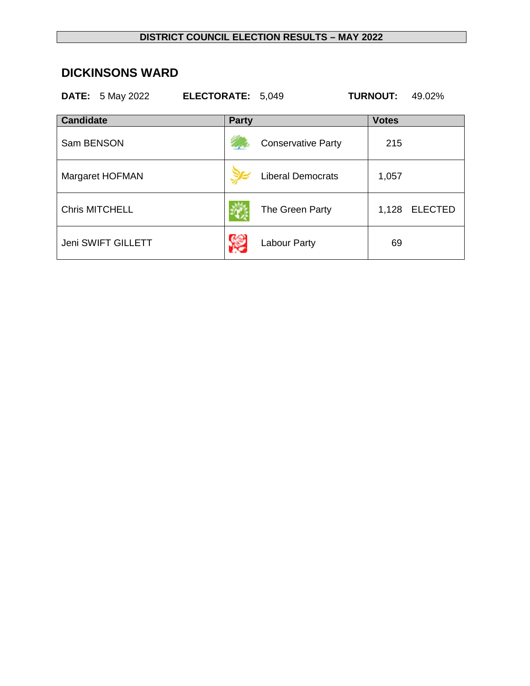#### **DICKINSONS WARD**

|                  | <b>DATE:</b> 5 May 2022 | ELECTORATE: 5,049 |                           | <b>TURNOUT:</b> | 49.02%         |
|------------------|-------------------------|-------------------|---------------------------|-----------------|----------------|
| <b>Candidate</b> |                         | <b>Party</b>      |                           | <b>Votes</b>    |                |
| Sam BENSON       |                         |                   | <b>Conservative Party</b> | 215             |                |
|                  | Margaret HOFMAN         |                   | <b>Liberal Democrats</b>  | 1,057           |                |
|                  | <b>Chris MITCHELL</b>   |                   | The Green Party           | 1,128           | <b>ELECTED</b> |
|                  | Jeni SWIFT GILLETT      |                   | Labour Party              | 69              |                |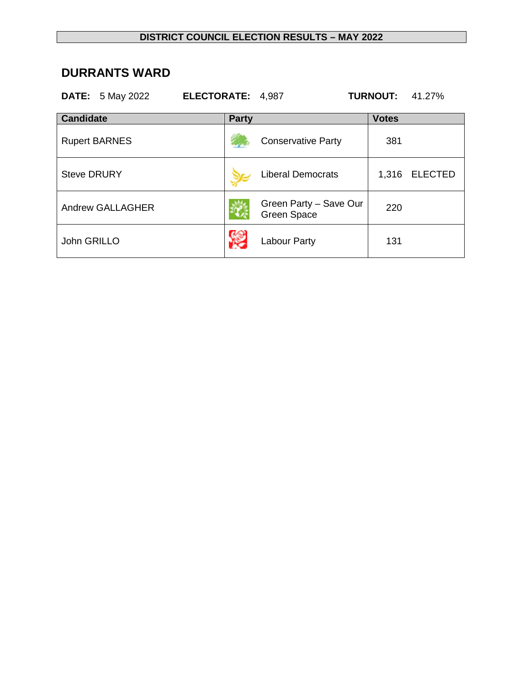### **DURRANTS WARD**

|                    | <b>DATE:</b> 5 May 2022 | ELECTORATE: 4,987 |                                              | <b>TURNOUT:</b> | 41.27%         |
|--------------------|-------------------------|-------------------|----------------------------------------------|-----------------|----------------|
| <b>Candidate</b>   |                         | <b>Party</b>      |                                              | <b>Votes</b>    |                |
|                    | <b>Rupert BARNES</b>    |                   | <b>Conservative Party</b>                    | 381             |                |
| <b>Steve DRURY</b> |                         |                   | <b>Liberal Democrats</b>                     | 1,316           | <b>ELECTED</b> |
|                    | <b>Andrew GALLAGHER</b> |                   | Green Party - Save Our<br><b>Green Space</b> | 220             |                |
| John GRILLO        |                         |                   | Labour Party                                 | 131             |                |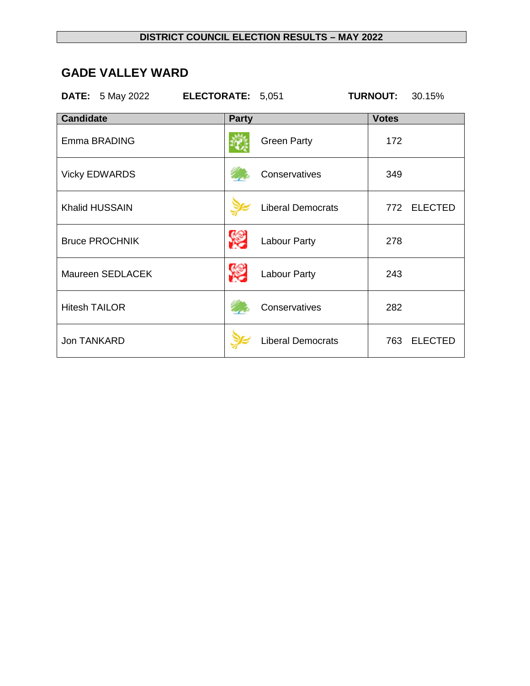### **GADE VALLEY WARD**

|                       | <b>DATE:</b> 5 May 2022 <b>ELECTORATE:</b> 5,051 |              |                          | <b>TURNOUT:</b> | 30.15%      |
|-----------------------|--------------------------------------------------|--------------|--------------------------|-----------------|-------------|
| <b>Candidate</b>      |                                                  | <b>Party</b> |                          | <b>Votes</b>    |             |
| Emma BRADING          |                                                  |              | <b>Green Party</b>       | 172             |             |
| <b>Vicky EDWARDS</b>  |                                                  |              | Conservatives            | 349             |             |
| <b>Khalid HUSSAIN</b> |                                                  |              | <b>Liberal Democrats</b> |                 | 772 ELECTED |
| <b>Bruce PROCHNIK</b> |                                                  |              | <b>Labour Party</b>      | 278             |             |
|                       | Maureen SEDLACEK                                 |              | Labour Party             | 243             |             |
| <b>Hitesh TAILOR</b>  |                                                  |              | Conservatives            | 282             |             |
| Jon TANKARD           |                                                  |              | <b>Liberal Democrats</b> |                 | 763 ELECTED |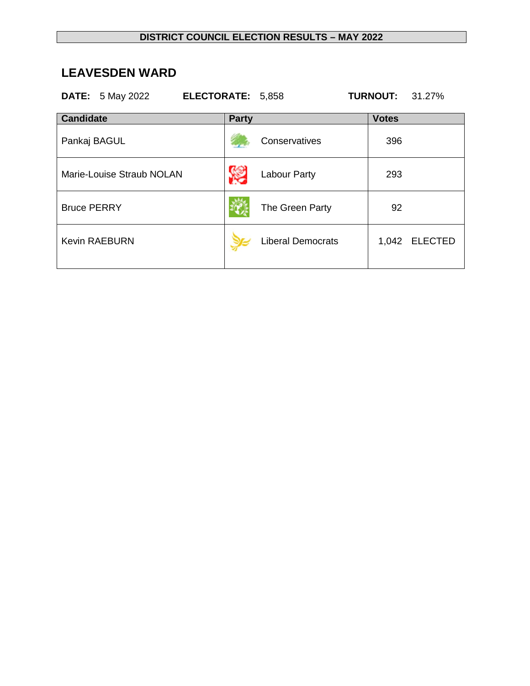### **LEAVESDEN WARD**

| <b>DATE:</b> 5 May 2022<br>ELECTORATE: 5,858 |              |                          | <b>TURNOUT:</b> | 31.27%        |
|----------------------------------------------|--------------|--------------------------|-----------------|---------------|
| <b>Candidate</b>                             | <b>Party</b> |                          | <b>Votes</b>    |               |
| Pankaj BAGUL                                 |              | Conservatives            | 396             |               |
| Marie-Louise Straub NOLAN                    |              | Labour Party             | 293             |               |
| <b>Bruce PERRY</b>                           |              | The Green Party          | 92              |               |
| <b>Kevin RAEBURN</b>                         |              | <b>Liberal Democrats</b> |                 | 1,042 ELECTED |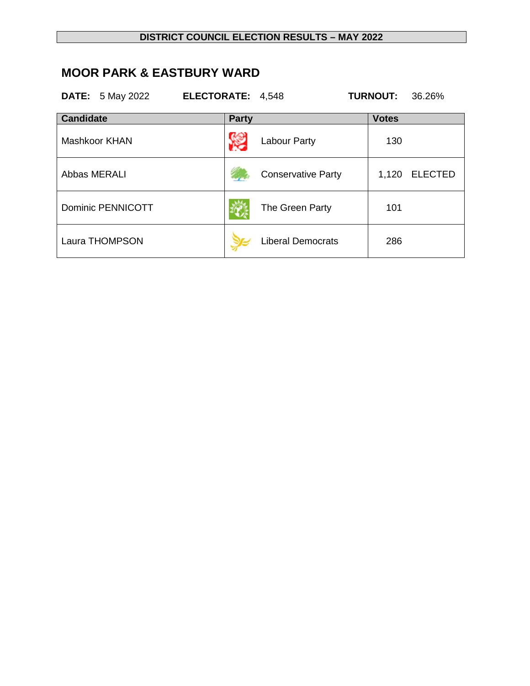#### **DISTRICT COUNCIL ELECTION RESULTS – MAY 2022**

### **MOOR PARK & EASTBURY WARD**

|                  | <b>DATE:</b> 5 May 2022  | <b>ELECTORATE:</b> |              | 4,548                     | <b>TURNOUT:</b> | 36.26%         |
|------------------|--------------------------|--------------------|--------------|---------------------------|-----------------|----------------|
| <b>Candidate</b> |                          |                    | <b>Party</b> |                           | <b>Votes</b>    |                |
|                  | Mashkoor KHAN            |                    |              | Labour Party              | 130             |                |
| Abbas MERALI     |                          |                    |              | <b>Conservative Party</b> | 1,120           | <b>ELECTED</b> |
|                  | <b>Dominic PENNICOTT</b> |                    |              | The Green Party           | 101             |                |
|                  | Laura THOMPSON           |                    |              | <b>Liberal Democrats</b>  | 286             |                |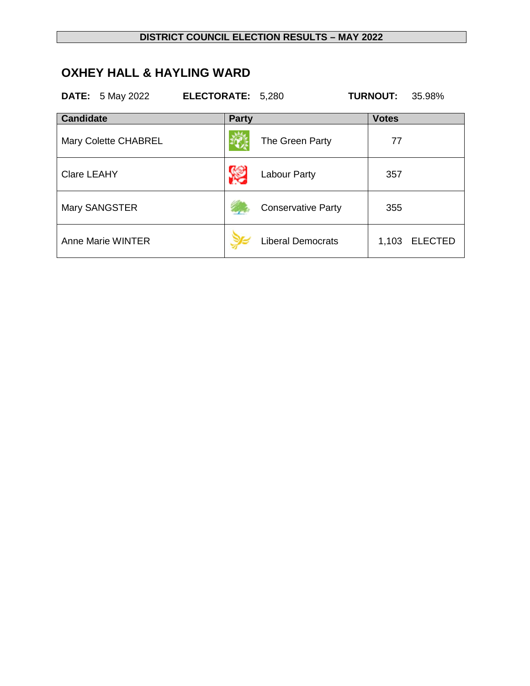## **OXHEY HALL & HAYLING WARD**

|                    | <b>DATE:</b> 5 May 2022 | ELECTORATE: 5,280 |              |                           | <b>TURNOUT:</b> | 35.98%         |
|--------------------|-------------------------|-------------------|--------------|---------------------------|-----------------|----------------|
| <b>Candidate</b>   |                         |                   | <b>Party</b> |                           | <b>Votes</b>    |                |
|                    | Mary Colette CHABREL    |                   |              | The Green Party           | 77              |                |
| <b>Clare LEAHY</b> |                         |                   |              | Labour Party              | 357             |                |
|                    | Mary SANGSTER           |                   |              | <b>Conservative Party</b> | 355             |                |
|                    | Anne Marie WINTER       |                   |              | <b>Liberal Democrats</b>  | 1,103           | <b>ELECTED</b> |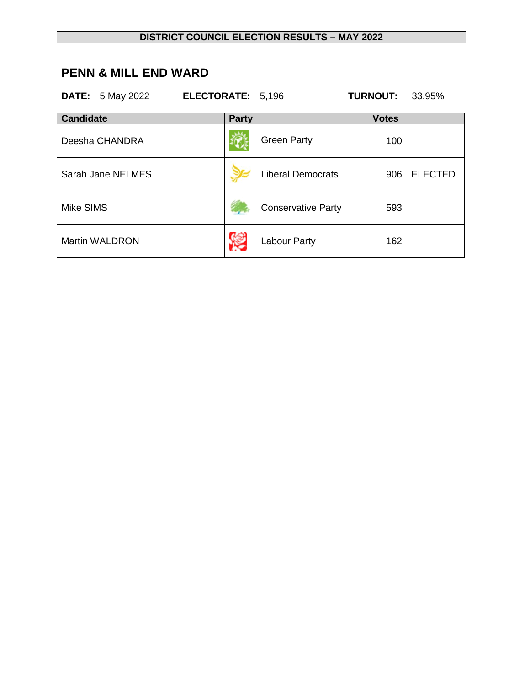### **PENN & MILL END WARD**

|                  | <b>DATE:</b> 5 May 2022 | ELECTORATE: 5,196 |                           | <b>TURNOUT:</b> | 33.95%         |
|------------------|-------------------------|-------------------|---------------------------|-----------------|----------------|
| <b>Candidate</b> |                         | <b>Party</b>      |                           | <b>Votes</b>    |                |
|                  | Deesha CHANDRA          |                   | <b>Green Party</b>        | 100             |                |
|                  | Sarah Jane NELMES       |                   | <b>Liberal Democrats</b>  | 906             | <b>ELECTED</b> |
| Mike SIMS        |                         |                   | <b>Conservative Party</b> | 593             |                |
|                  | <b>Martin WALDRON</b>   |                   | Labour Party              | 162             |                |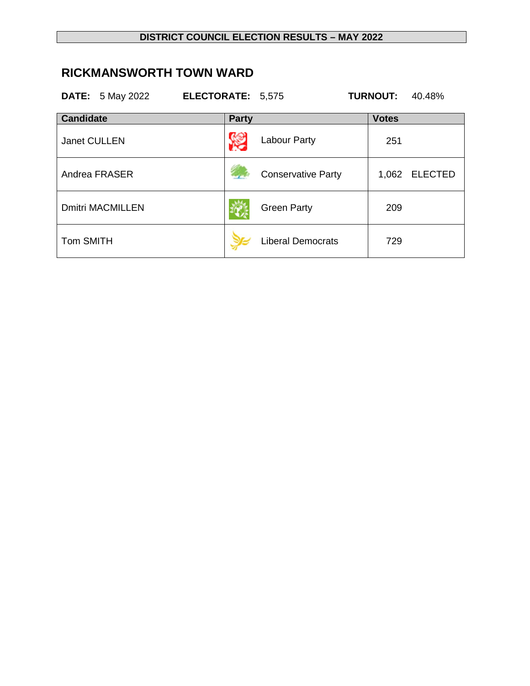#### **DISTRICT COUNCIL ELECTION RESULTS – MAY 2022**

### **RICKMANSWORTH TOWN WARD**

|                     | <b>DATE:</b> 5 May 2022 | ELECTORATE: 5,575 |              |                           | <b>TURNOUT:</b> | 40.48%         |
|---------------------|-------------------------|-------------------|--------------|---------------------------|-----------------|----------------|
| <b>Candidate</b>    |                         |                   | <b>Party</b> |                           | <b>Votes</b>    |                |
| <b>Janet CULLEN</b> |                         |                   |              | <b>Labour Party</b>       | 251             |                |
|                     | Andrea FRASER           |                   |              | <b>Conservative Party</b> | 1,062           | <b>ELECTED</b> |
|                     | <b>Dmitri MACMILLEN</b> |                   |              | <b>Green Party</b>        | 209             |                |
| <b>Tom SMITH</b>    |                         |                   |              | <b>Liberal Democrats</b>  | 729             |                |